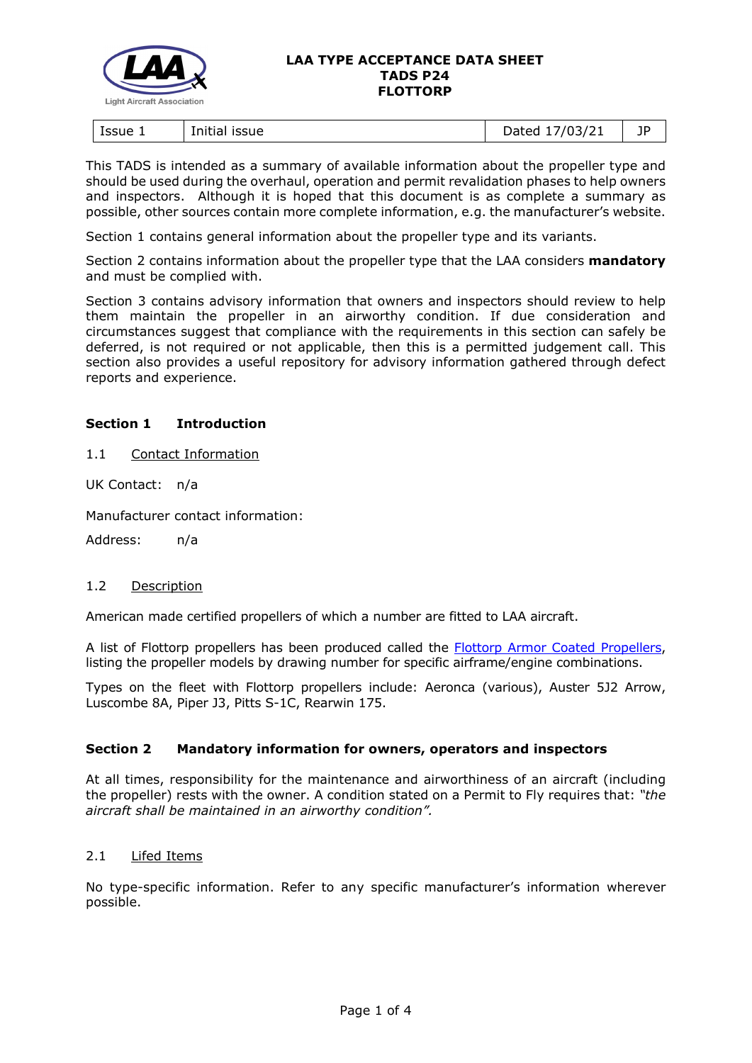

| ssue 1<br>issue<br>Initial | 1021<br>.<br>07<br>.,<br>2000 | --<br>ΙL<br>- 1 |
|----------------------------|-------------------------------|-----------------|
|----------------------------|-------------------------------|-----------------|

This TADS is intended as a summary of available information about the propeller type and should be used during the overhaul, operation and permit revalidation phases to help owners and inspectors. Although it is hoped that this document is as complete a summary as possible, other sources contain more complete information, e.g. the manufacturer's website.

Section 1 contains general information about the propeller type and its variants.

Section 2 contains information about the propeller type that the LAA considers **mandatory** and must be complied with.

Section 3 contains advisory information that owners and inspectors should review to help them maintain the propeller in an airworthy condition. If due consideration and circumstances suggest that compliance with the requirements in this section can safely be deferred, is not required or not applicable, then this is a permitted judgement call. This section also provides a useful repository for advisory information gathered through defect reports and experience.

# **Section 1 Introduction**

1.1 Contact Information

UK Contact: n/a

Manufacturer contact information:

Address: n/a

## 1.2 Description

American made certified propellers of which a number are fitted to LAA aircraft.

A list of Flottorp propellers has been produced called the [Flottorp Armor Coated Propellers,](http://www.lightaircraftassociation.co.uk/engineering/TADs/P24/FLOTTORP%20ARMOR%20COATED%20PROPELLERS.pdf) listing the propeller models by drawing number for specific airframe/engine combinations.

Types on the fleet with Flottorp propellers include: Aeronca (various), Auster 5J2 Arrow, Luscombe 8A, Piper J3, Pitts S-1C, Rearwin 175.

## **Section 2 Mandatory information for owners, operators and inspectors**

At all times, responsibility for the maintenance and airworthiness of an aircraft (including the propeller) rests with the owner. A condition stated on a Permit to Fly requires that: *"the aircraft shall be maintained in an airworthy condition".* 

# 2.1 Lifed Items

No type-specific information. Refer to any specific manufacturer's information wherever possible.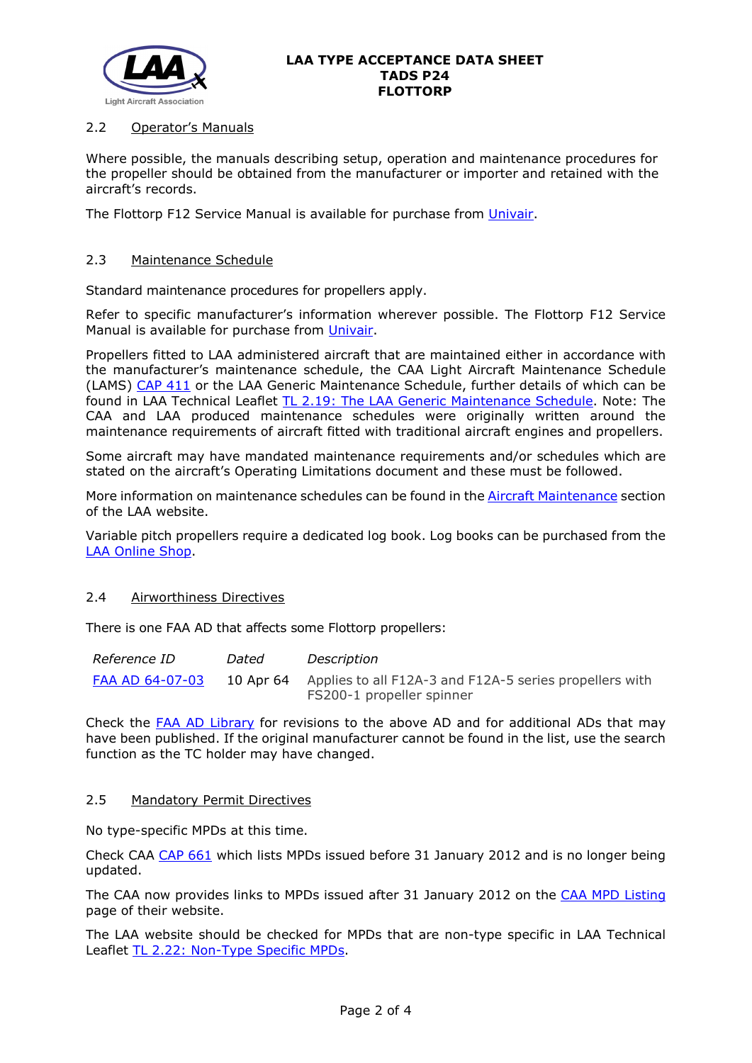

# 2.2 Operator's Manuals

Where possible, the manuals describing setup, operation and maintenance procedures for the propeller should be obtained from the manufacturer or importer and retained with the aircraft's records.

The Flottorp F12 Service Manual is available for purchase from [Univair.](https://www.univair.com/categories/propellers/flottorp.html)

## 2.3 Maintenance Schedule

Standard maintenance procedures for propellers apply.

Refer to specific manufacturer's information wherever possible. The Flottorp F12 Service Manual is available for purchase from [Univair.](https://www.univair.com/categories/propellers/flottorp.html)

Propellers fitted to LAA administered aircraft that are maintained either in accordance with the manufacturer's maintenance schedule, the CAA Light Aircraft Maintenance Schedule (LAMS) [CAP 411](http://www.caa.co.uk/CAP411) or the LAA Generic Maintenance Schedule, further details of which can be found in LAA Technical Leaflet [TL 2.19: The LAA Generic Maintenance Schedule.](http://www.lightaircraftassociation.co.uk/engineering/TechnicalLeaflets/Operating%20An%20Aircraft/TL%202.19%20The%20LAA%20Generic%20Maintenance%20Schedule.pdf) Note: The CAA and LAA produced maintenance schedules were originally written around the maintenance requirements of aircraft fitted with traditional aircraft engines and propellers.

Some aircraft may have mandated maintenance requirements and/or schedules which are stated on the aircraft's Operating Limitations document and these must be followed.

More information on maintenance schedules can be found in the [Aircraft Maintenance](http://www.lightaircraftassociation.co.uk/engineering/Maintenance/Aircraft_Maintenance.html) section of the LAA website.

Variable pitch propellers require a dedicated log book. Log books can be purchased from the [LAA Online Shop.](https://services.lightaircraftassociation.co.uk/catalog/265)

## 2.4 Airworthiness Directives

There is one FAA AD that affects some Flottorp propellers:

| <i>Reference ID</i> | Dated | Description                                                                                    |
|---------------------|-------|------------------------------------------------------------------------------------------------|
| FAA AD 64-07-03     |       | 10 Apr 64 Applies to all F12A-3 and F12A-5 series propellers with<br>FS200-1 propeller spinner |

Check the [FAA AD Library](https://rgl.faa.gov/Regulatory_and_Guidance_Library/rgAD.nsf/Frameset?OpenPage) for revisions to the above AD and for additional ADs that may have been published. If the original manufacturer cannot be found in the list, use the search function as the TC holder may have changed.

#### 2.5 Mandatory Permit Directives

No type-specific MPDs at this time.

Check CAA [CAP 661](http://www.caa.co.uk/cap661) which lists MPDs issued before 31 January 2012 and is no longer being updated.

The CAA now provides links to MPDs issued after 31 January 2012 on the [CAA MPD Listing](http://publicapps.caa.co.uk/modalapplication.aspx?appid=11&mode=list&type=sercat&id=55) page of their website.

The LAA website should be checked for MPDs that are non-type specific in LAA Technical Leaflet [TL 2.22: Non-Type Specific MPDs.](http://www.lightaircraftassociation.co.uk/engineering/TechnicalLeaflets/Operating%20An%20Aircraft/TL%202.22%20non-type%20specific%20MPDs.pdf)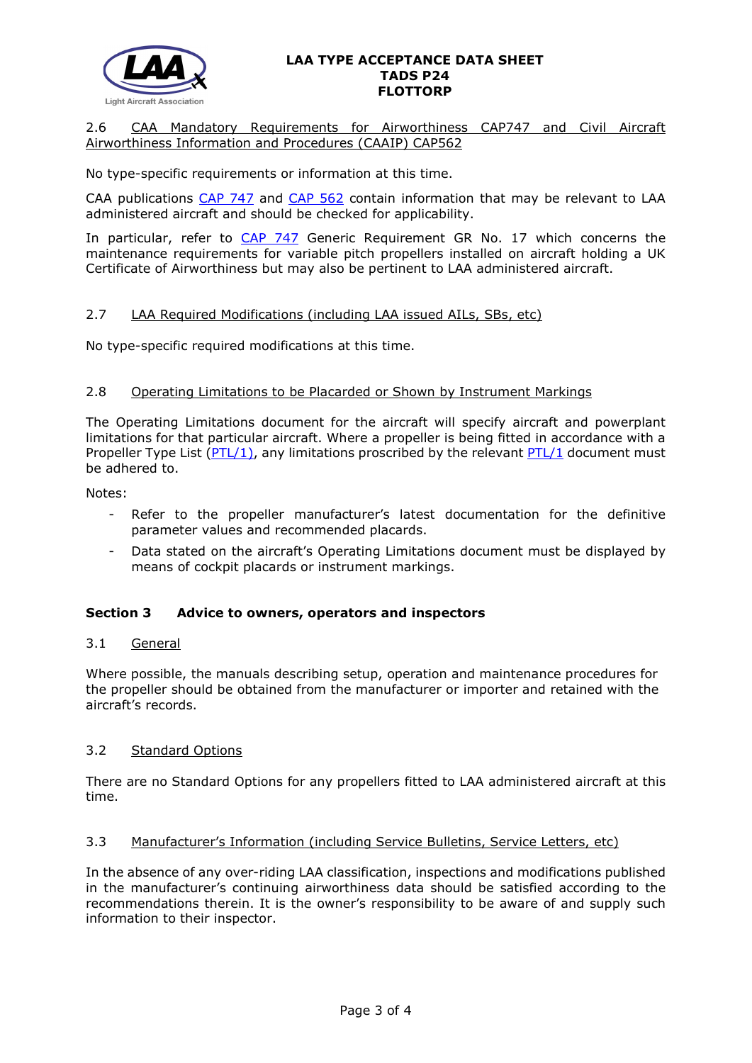

# 2.6 CAA Mandatory Requirements for Airworthiness CAP747 and Civil Aircraft Airworthiness Information and Procedures (CAAIP) CAP562

No type-specific requirements or information at this time.

CAA publications [CAP 747](http://www.caa.co.uk/CAP747) and [CAP 562](http://www.caa.co.uk/CAP562) contain information that may be relevant to LAA administered aircraft and should be checked for applicability.

In particular, refer to [CAP 747](http://www.caa.co.uk/CAP747) Generic Requirement GR No. 17 which concerns the maintenance requirements for variable pitch propellers installed on aircraft holding a UK Certificate of Airworthiness but may also be pertinent to LAA administered aircraft.

## 2.7 LAA Required Modifications (including LAA issued AILs, SBs, etc)

No type-specific required modifications at this time.

#### 2.8 Operating Limitations to be Placarded or Shown by Instrument Markings

The Operating Limitations document for the aircraft will specify aircraft and powerplant limitations for that particular aircraft. Where a propeller is being fitted in accordance with a Propeller Type List ( $PTL/1$ ), any limitations proscribed by the relevant  $PTL/1$  document must be adhered to.

Notes:

- Refer to the propeller manufacturer's latest documentation for the definitive parameter values and recommended placards.
- Data stated on the aircraft's Operating Limitations document must be displayed by means of cockpit placards or instrument markings.

## **Section 3 Advice to owners, operators and inspectors**

#### 3.1 General

Where possible, the manuals describing setup, operation and maintenance procedures for the propeller should be obtained from the manufacturer or importer and retained with the aircraft's records.

## 3.2 Standard Options

There are no Standard Options for any propellers fitted to LAA administered aircraft at this time.

#### 3.3 Manufacturer's Information (including Service Bulletins, Service Letters, etc)

In the absence of any over-riding LAA classification, inspections and modifications published in the manufacturer's continuing airworthiness data should be satisfied according to the recommendations therein. It is the owner's responsibility to be aware of and supply such information to their inspector.